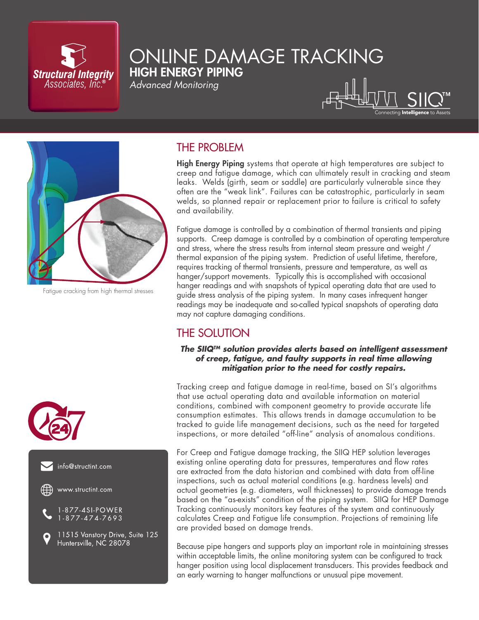

## ONLINE DAMAGE TRACKING HIGH ENERGY PIPING

*Advanced Monitoring*

# ttina **Intelliaence** to Asset:



Fatigue cracking from high thermal stresses

## THE PROBLEM

High Energy Piping systems that operate at high temperatures are subject to creep and fatigue damage, which can ultimately result in cracking and steam leaks. Welds (girth, seam or saddle) are particularly vulnerable since they often are the "weak link". Failures can be catastrophic, particularly in seam welds, so planned repair or replacement prior to failure is critical to safety and availability.

Fatigue damage is controlled by a combination of thermal transients and piping supports. Creep damage is controlled by a combination of operating temperature and stress, where the stress results from internal steam pressure and weight / thermal expansion of the piping system. Prediction of useful lifetime, therefore, requires tracking of thermal transients, pressure and temperature, as well as hanger/support movements. Typically this is accomplished with occasional hanger readings and with snapshots of typical operating data that are used to guide stress analysis of the piping system. In many cases infrequent hanger readings may be inadequate and so-called typical snapshots of operating data may not capture damaging conditions.

## THE SOLUTION

#### *The SIIQTM solution provides alerts based on intelligent assessment of creep, fatigue, and faulty supports in real time allowing mitigation prior to the need for costly repairs.*

Tracking creep and fatigue damage in real-time, based on SI's algorithms that use actual operating data and available information on material conditions, combined with component geometry to provide accurate life consumption estimates. This allows trends in damage accumulation to be tracked to guide life management decisions, such as the need for targeted inspections, or more detailed "off-line" analysis of anomalous conditions.

For Creep and Fatigue damage tracking, the SIIQ HEP solution leverages existing online operating data for pressures, temperatures and flow rates are extracted from the data historian and combined with data from off-line inspections, such as actual material conditions (e.g. hardness levels) and actual geometries (e.g. diameters, wall thicknesses) to provide damage trends based on the "as-exists" condition of the piping system. SIIQ for HEP Damage Tracking continuously monitors key features of the system and continuously calculates Creep and Fatigue life consumption. Projections of remaining life are provided based on damage trends.

Because pipe hangers and supports play an important role in maintaining stresses within acceptable limits, the online monitoring system can be configured to track hanger position using local displacement transducers. This provides feedback and an early warning to hanger malfunctions or unusual pipe movement.